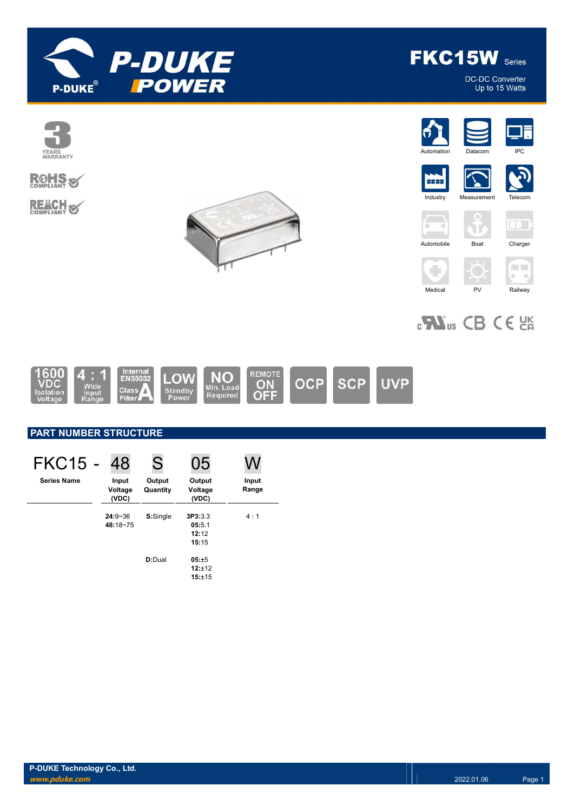

DC-DC Converter<br>Up to 15 Watts



# **ROHS REACH S**





**Industry** 

5555





JF.





 $_{c}$   $\mathbf{W}_{us}$  CB CE  $_{CR}$ 



# PART NUMBER STRUCTURE

| FKC15 -            | 48                        | S                  | 05                                  |                |
|--------------------|---------------------------|--------------------|-------------------------------------|----------------|
| <b>Series Name</b> | Input<br>Voltage<br>(VDC) | Output<br>Quantity | Output<br>Voltage<br>(VDC)          | Input<br>Range |
|                    | $24:9 - 36$<br>48:18~75   | S:Single           | 3P3:3.3<br>05:5.1<br>12:12<br>15:15 | 4:1            |
|                    |                           | D:Dual             | $05: \pm 5$<br>12:±12<br>15:±15     |                |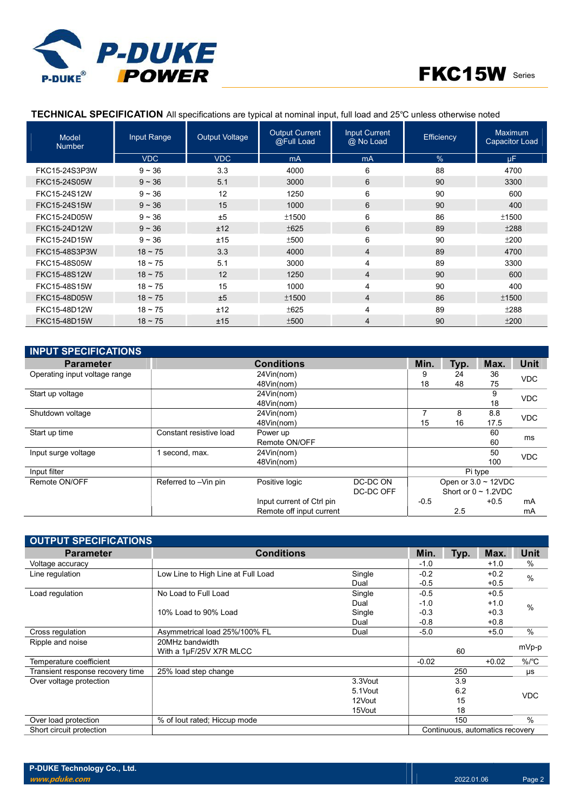



### TECHNICAL SPECIFICATION All specifications are typical at nominal input, full load and 25℃ unless otherwise noted

| <b>Model</b><br><b>Number</b> | Input Range  | <b>Output Voltage</b> | <b>Output Current</b><br>@Full Load | <b>Input Current</b><br>@ No Load | Efficiency    | Maximum<br><b>Capacitor Load</b> |
|-------------------------------|--------------|-----------------------|-------------------------------------|-----------------------------------|---------------|----------------------------------|
|                               | <b>VDC</b>   | <b>VDC</b>            | mA                                  | mA                                | $\frac{0}{0}$ | <b>uF</b>                        |
| FKC15-24S3P3W                 | $9 - 36$     | 3.3                   | 4000                                | 6                                 | 88            | 4700                             |
| FKC15-24S05W                  | $9 - 36$     | 5.1                   | 3000                                | 6                                 | 90            | 3300                             |
| FKC15-24S12W                  | $9 - 36$     | 12                    | 1250                                | 6                                 | 90            | 600                              |
| FKC15-24S15W                  | $9 - 36$     | 15                    | 1000                                | 6                                 | 90            | 400                              |
| FKC15-24D05W                  | $9 - 36$     | ±5                    | ±1500                               | 6                                 | 86            | ±1500                            |
| FKC15-24D12W                  | $9 - 36$     | ±12                   | ±625                                | 6                                 | 89            | ±288                             |
| FKC15-24D15W                  | $9 - 36$     | ±15                   | ±500                                | 6                                 | 90            | ±200                             |
| FKC15-48S3P3W                 | $18 - 75$    | 3.3                   | 4000                                | $\overline{4}$                    | 89            | 4700                             |
| FKC15-48S05W                  | $18 - 75$    | 5.1                   | 3000                                | 4                                 | 89            | 3300                             |
| FKC15-48S12W                  | $18 - 75$    | 12                    | 1250                                | 4                                 | 90            | 600                              |
| FKC15-48S15W                  | $18 - 75$    | 15                    | 1000                                | 4                                 | 90            | 400                              |
| FKC15-48D05W                  | $18 \sim 75$ | ±5                    | ±1500                               | $\overline{4}$                    | 86            | ±1500                            |
| FKC15-48D12W                  | $18 - 75$    | ±12                   | ±625                                | 4                                 | 89            | ±288                             |
| FKC15-48D15W                  | $18 - 75$    | ±15                   | ±500                                | 4                                 | 90            | ±200                             |

| <b>INPUT SPECIFICATIONS</b>   |                         |                           |           |        |      |                           |                    |  |
|-------------------------------|-------------------------|---------------------------|-----------|--------|------|---------------------------|--------------------|--|
| <b>Parameter</b>              |                         | <b>Conditions</b>         |           | Min.   | Typ. | Max.                      | <b>Unit</b>        |  |
| Operating input voltage range |                         | 24Vin(nom)                |           | 9      | 24   | 36                        | <b>VDC</b>         |  |
|                               |                         | 48Vin(nom)                |           | 18     | 48   | 75                        |                    |  |
| Start up voltage              |                         | 24Vin(nom)                |           |        |      | 9                         | <b>VDC</b>         |  |
|                               |                         | 48Vin(nom)                |           |        |      | 18                        |                    |  |
| Shutdown voltage              |                         | 24Vin(nom)                |           |        | 8    | 8.8                       | <b>VDC</b><br>17.5 |  |
|                               |                         | 48Vin(nom)                |           | 15     | 16   |                           |                    |  |
| Start up time                 | Constant resistive load | Power up                  |           |        |      | 60                        |                    |  |
|                               |                         | Remote ON/OFF             |           |        |      | 60                        | ms                 |  |
| Input surge voltage           | I second, max.          | 24Vin(nom)                |           |        |      | 50                        | <b>VDC</b>         |  |
|                               |                         | 48Vin(nom)                |           |        |      | 100                       |                    |  |
| Input filter                  |                         |                           |           |        |      | Pi type                   |                    |  |
| Remote ON/OFF                 | Referred to -Vin pin    | Positive logic            | DC-DC ON  |        |      | Open or $3.0 \sim 12$ VDC |                    |  |
|                               |                         |                           | DC-DC OFF |        |      | Short or $0 \sim 1.2$ VDC |                    |  |
|                               |                         | Input current of Ctrl pin |           | $-0.5$ |      | $+0.5$                    | mA                 |  |
|                               |                         | Remote off input current  |           |        | 2.5  |                           | mA                 |  |

| <b>OUTPUT SPECIFICATIONS</b>     |                                    |          |         |      |                                 |               |
|----------------------------------|------------------------------------|----------|---------|------|---------------------------------|---------------|
| <b>Parameter</b>                 | <b>Conditions</b>                  |          | Min.    | Typ. | Max.                            | Unit          |
| Voltage accuracy                 |                                    |          | $-1.0$  |      | $+1.0$                          | $\%$          |
| Line regulation                  | Low Line to High Line at Full Load | Single   | $-0.2$  |      | $+0.2$                          | $\frac{0}{0}$ |
|                                  |                                    | Dual     | $-0.5$  |      | $+0.5$                          |               |
| Load regulation                  | No Load to Full Load               | Single   | $-0.5$  |      | $+0.5$                          |               |
|                                  |                                    | Dual     | $-1.0$  |      | $+1.0$                          | $\frac{0}{0}$ |
|                                  | 10% Load to 90% Load               | Single   | $-0.3$  |      | $+0.3$                          |               |
|                                  |                                    | Dual     | $-0.8$  |      | $+0.8$                          |               |
| Cross regulation                 | Asymmetrical load 25%/100% FL      | Dual     | $-5.0$  |      | $+5.0$                          | $\%$          |
| Ripple and noise                 | 20MHz bandwidth                    |          |         |      |                                 |               |
|                                  | With a 1µF/25V X7R MLCC            |          |         | 60   |                                 | mVp-p         |
| Temperature coefficient          |                                    |          | $-0.02$ |      | $+0.02$                         | $\%$ /°C      |
| Transient response recovery time | 25% load step change               |          |         | 250  |                                 | μs            |
| Over voltage protection          |                                    | 3.3Vout  |         | 3.9  |                                 |               |
|                                  |                                    | 5.1 Vout |         | 6.2  |                                 | <b>VDC</b>    |
|                                  |                                    | 12Vout   |         | 15   |                                 |               |
|                                  |                                    | 15Vout   |         | 18   |                                 |               |
| Over load protection             | % of lout rated; Hiccup mode       |          |         | 150  |                                 | $\%$          |
| Short circuit protection         |                                    |          |         |      | Continuous, automatics recovery |               |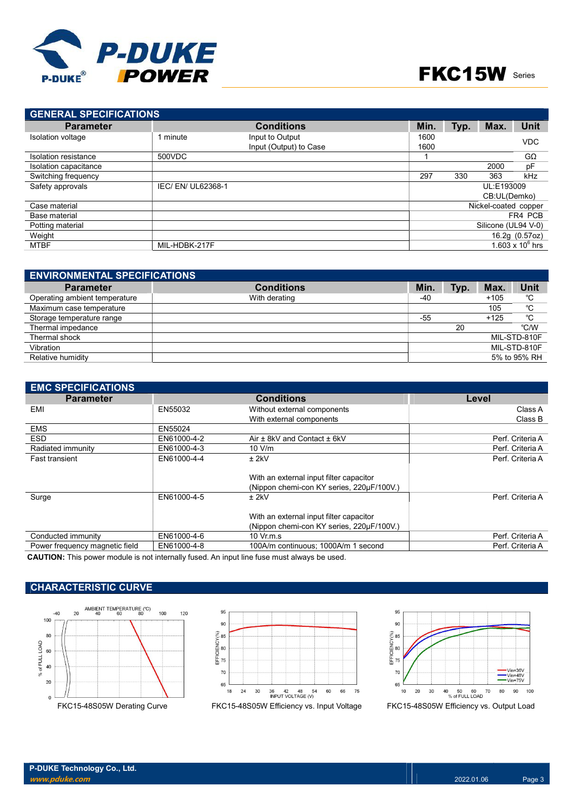

# FKC15W Series

| <b>GENERAL SPECIFICATIONS</b> |                    |                        |            |                      |              |                     |
|-------------------------------|--------------------|------------------------|------------|----------------------|--------------|---------------------|
| <b>Parameter</b>              |                    | <b>Conditions</b>      | Min.       | Typ.                 | Max.         | Unit                |
| <b>Isolation voltage</b>      | 1 minute           | Input to Output        | 1600       |                      |              | <b>VDC</b>          |
|                               |                    | Input (Output) to Case | 1600       |                      |              |                     |
| Isolation resistance          | 500VDC             |                        |            |                      |              | $G\Omega$           |
| Isolation capacitance         |                    |                        |            |                      | 2000         | pF                  |
| Switching frequency           |                    |                        | 297        | 330                  | 363          | kHz                 |
| Safety approvals              | IEC/ EN/ UL62368-1 |                        | UL:E193009 |                      |              |                     |
|                               |                    |                        |            |                      | CB:UL(Demko) |                     |
| Case material                 |                    |                        |            | Nickel-coated copper |              |                     |
| Base material                 |                    |                        |            | FR4 PCB              |              |                     |
| Potting material              |                    |                        |            | Silicone (UL94 V-0)  |              |                     |
| Weight                        |                    |                        |            |                      |              | 16.2g (0.57oz)      |
| <b>MTBF</b>                   | MIL-HDBK-217F      |                        |            |                      |              | 1.603 x 10 $^6$ hrs |

| <b>ENVIRONMENTAL SPECIFICATIONS</b> |                   |       |      |        |              |
|-------------------------------------|-------------------|-------|------|--------|--------------|
| <b>Parameter</b>                    | <b>Conditions</b> | Min.  | Typ. | Max.   | <b>Unit</b>  |
| Operating ambient temperature       | With derating     | $-40$ |      | $+105$ | °C           |
| Maximum case temperature            |                   |       |      | 105    | °C           |
| Storage temperature range           |                   | $-55$ |      | $+125$ | °C           |
| Thermal impedance                   |                   |       | 20   |        | °C/W         |
| Thermal shock                       |                   |       |      |        | MIL-STD-810F |
| Vibration                           |                   |       |      |        | MIL-STD-810F |
| Relative humidity                   |                   |       |      |        | 5% to 95% RH |

| <b>EMC SPECIFICATIONS</b>      |             |                                                                                      |                  |
|--------------------------------|-------------|--------------------------------------------------------------------------------------|------------------|
| <b>Parameter</b>               |             | <b>Conditions</b>                                                                    | Level            |
| EMI                            | EN55032     | Without external components                                                          | Class A          |
|                                |             | With external components                                                             | Class B          |
| <b>EMS</b>                     | EN55024     |                                                                                      |                  |
| <b>ESD</b>                     | EN61000-4-2 | Air ± 8kV and Contact ± 6kV                                                          | Perf. Criteria A |
| Radiated immunity              | EN61000-4-3 | $10 \text{ V/m}$                                                                     | Perf. Criteria A |
| <b>Fast transient</b>          | EN61000-4-4 | $±$ 2kV                                                                              | Perf. Criteria A |
|                                |             | With an external input filter capacitor<br>(Nippon chemi-con KY series, 220uF/100V.) |                  |
| Surge                          | EN61000-4-5 | $±$ 2kV                                                                              | Perf. Criteria A |
|                                |             | With an external input filter capacitor<br>(Nippon chemi-con KY series, 220µF/100V.) |                  |
| Conducted immunity             | EN61000-4-6 | $10 \text{ Vr.m.s}$                                                                  | Perf. Criteria A |
| Power frequency magnetic field | EN61000-4-8 | 100A/m continuous; 1000A/m 1 second                                                  | Perf. Criteria A |
|                                |             |                                                                                      |                  |

CAUTION: This power module is not internally fused. An input line fuse must always be used.

# CHARACTERISTIC CURVE







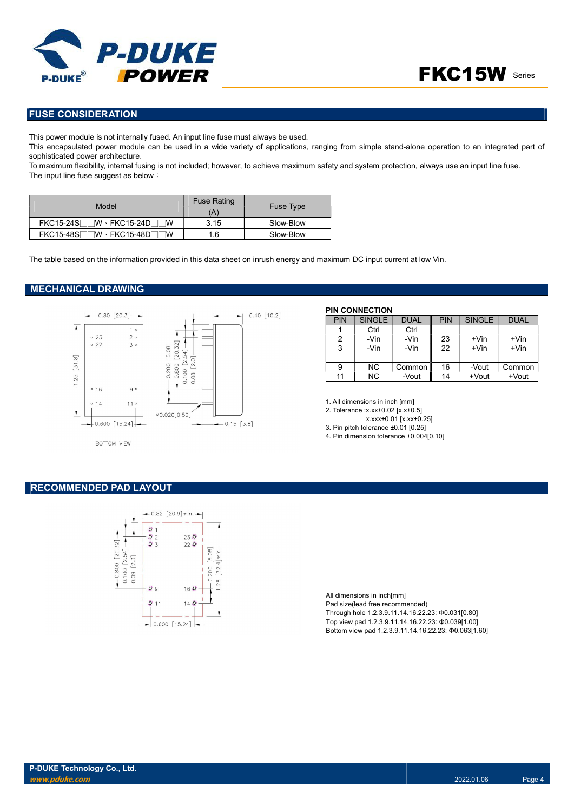

### FUSE CONSIDERATION

This power module is not internally fused. An input line fuse must always be used.

This encapsulated power module can be used in a wide variety of applications, ranging from simple stand-alone operation to an integrated part of sophisticated power architecture.

To maximum flexibility, internal fusing is not included; however, to achieve maximum safety and system protection, always use an input line fuse. The input line fuse suggest as below:

| Model                                | <b>Fuse Rating</b><br>(A' | <b>Fuse Type</b> |
|--------------------------------------|---------------------------|------------------|
| $FKC15-24S$ W $\cdot$ FKC15-24D W    | 3.15                      | Slow-Blow        |
| $FKC15-48S$ W $\cdot$ FKC15-48D<br>™ | 1.6                       | Slow-Blow        |

The table based on the information provided in this data sheet on inrush energy and maximum DC input current at low Vin.

#### MECHANICAL DRAWING



BOTTOM VIEW

| PIN | <b>SINGLE</b> | <b>DUAL</b> | <b>PIN</b> | <b>SINGLE</b> | <b>DUAL</b> |
|-----|---------------|-------------|------------|---------------|-------------|
|     | Ctrl          | Ctrl        |            |               |             |
|     | -Vin          | -Vin        | 23         | $+V$ in       | $+V$ in     |
| 3   | -Vin          | -Vin        | 22         | $+V$ in       | $+V$ in     |
|     |               |             |            |               |             |
| 9   | NC.           | Common      | 16         | -Vout         | Common      |
|     | ΝC            | -Vout       | 14         | +Vout         | +Vout       |

1. All dimensions in inch [mm]

PIN CONNECTION

2. Tolerance :x.xx±0.02 [x.x±0.5]

x.xxx±0.01 [x.xx±0.25] 3. Pin pitch tolerance ±0.01 [0.25]

4. Pin dimension tolerance ±0.004[0.10]

RECOMMENDED PAD LAYOUT



All dimensions in inch[mm] Pad size(lead free recommended) Through hole 1.2.3.9.11.14.16.22.23: Φ0.031[0.80] Top view pad 1.2.3.9.11.14.16.22.23: Φ0.039[1.00] Bottom view pad 1.2.3.9.11.14.16.22.23: Φ0.063[1.60]